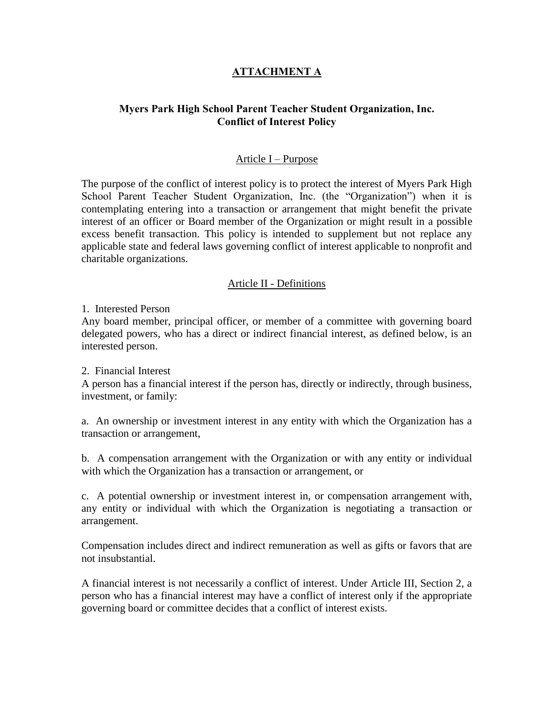# **ATTACHMENT A**

# **Myers Park High School Parent Teacher Student Organization, Inc. Conflict of Interest Policy**

### Article I – Purpose

The purpose of the conflict of interest policy is to protect the interest of Myers Park High School Parent Teacher Student Organization, Inc. (the "Organization") when it is contemplating entering into a transaction or arrangement that might benefit the private interest of an officer or Board member of the Organization or might result in a possible excess benefit transaction. This policy is intended to supplement but not replace any applicable state and federal laws governing conflict of interest applicable to nonprofit and charitable organizations.

### Article II - Definitions

1. Interested Person

Any board member, principal officer, or member of a committee with governing board delegated powers, who has a direct or indirect financial interest, as defined below, is an interested person.

2. Financial Interest

A person has a financial interest if the person has, directly or indirectly, through business, investment, or family:

a. An ownership or investment interest in any entity with which the Organization has a transaction or arrangement,

b. A compensation arrangement with the Organization or with any entity or individual with which the Organization has a transaction or arrangement, or

c. A potential ownership or investment interest in, or compensation arrangement with, any entity or individual with which the Organization is negotiating a transaction or arrangement.

Compensation includes direct and indirect remuneration as well as gifts or favors that are not insubstantial.

A financial interest is not necessarily a conflict of interest. Under Article III, Section 2, a person who has a financial interest may have a conflict of interest only if the appropriate governing board or committee decides that a conflict of interest exists.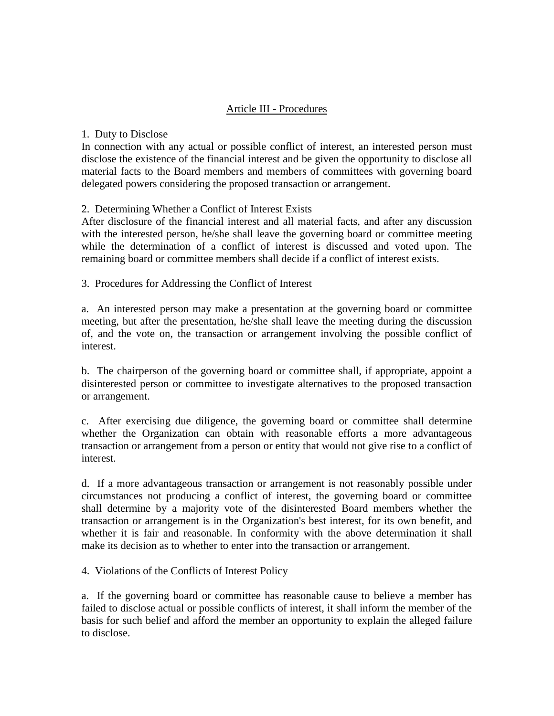# Article III - Procedures

### 1. Duty to Disclose

In connection with any actual or possible conflict of interest, an interested person must disclose the existence of the financial interest and be given the opportunity to disclose all material facts to the Board members and members of committees with governing board delegated powers considering the proposed transaction or arrangement.

### 2. Determining Whether a Conflict of Interest Exists

After disclosure of the financial interest and all material facts, and after any discussion with the interested person, he/she shall leave the governing board or committee meeting while the determination of a conflict of interest is discussed and voted upon. The remaining board or committee members shall decide if a conflict of interest exists.

3. Procedures for Addressing the Conflict of Interest

a. An interested person may make a presentation at the governing board or committee meeting, but after the presentation, he/she shall leave the meeting during the discussion of, and the vote on, the transaction or arrangement involving the possible conflict of interest.

b. The chairperson of the governing board or committee shall, if appropriate, appoint a disinterested person or committee to investigate alternatives to the proposed transaction or arrangement.

c. After exercising due diligence, the governing board or committee shall determine whether the Organization can obtain with reasonable efforts a more advantageous transaction or arrangement from a person or entity that would not give rise to a conflict of interest.

d. If a more advantageous transaction or arrangement is not reasonably possible under circumstances not producing a conflict of interest, the governing board or committee shall determine by a majority vote of the disinterested Board members whether the transaction or arrangement is in the Organization's best interest, for its own benefit, and whether it is fair and reasonable. In conformity with the above determination it shall make its decision as to whether to enter into the transaction or arrangement.

4. Violations of the Conflicts of Interest Policy

a. If the governing board or committee has reasonable cause to believe a member has failed to disclose actual or possible conflicts of interest, it shall inform the member of the basis for such belief and afford the member an opportunity to explain the alleged failure to disclose.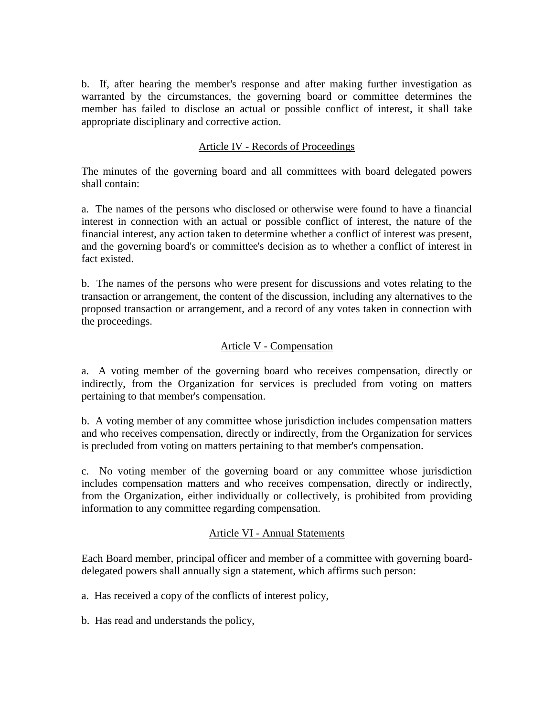b. If, after hearing the member's response and after making further investigation as warranted by the circumstances, the governing board or committee determines the member has failed to disclose an actual or possible conflict of interest, it shall take appropriate disciplinary and corrective action.

# Article IV - Records of Proceedings

The minutes of the governing board and all committees with board delegated powers shall contain:

a. The names of the persons who disclosed or otherwise were found to have a financial interest in connection with an actual or possible conflict of interest, the nature of the financial interest, any action taken to determine whether a conflict of interest was present, and the governing board's or committee's decision as to whether a conflict of interest in fact existed.

b. The names of the persons who were present for discussions and votes relating to the transaction or arrangement, the content of the discussion, including any alternatives to the proposed transaction or arrangement, and a record of any votes taken in connection with the proceedings.

# Article V - Compensation

a. A voting member of the governing board who receives compensation, directly or indirectly, from the Organization for services is precluded from voting on matters pertaining to that member's compensation.

b. A voting member of any committee whose jurisdiction includes compensation matters and who receives compensation, directly or indirectly, from the Organization for services is precluded from voting on matters pertaining to that member's compensation.

c. No voting member of the governing board or any committee whose jurisdiction includes compensation matters and who receives compensation, directly or indirectly, from the Organization, either individually or collectively, is prohibited from providing information to any committee regarding compensation.

# Article VI - Annual Statements

Each Board member, principal officer and member of a committee with governing boarddelegated powers shall annually sign a statement, which affirms such person:

a. Has received a copy of the conflicts of interest policy,

b. Has read and understands the policy,